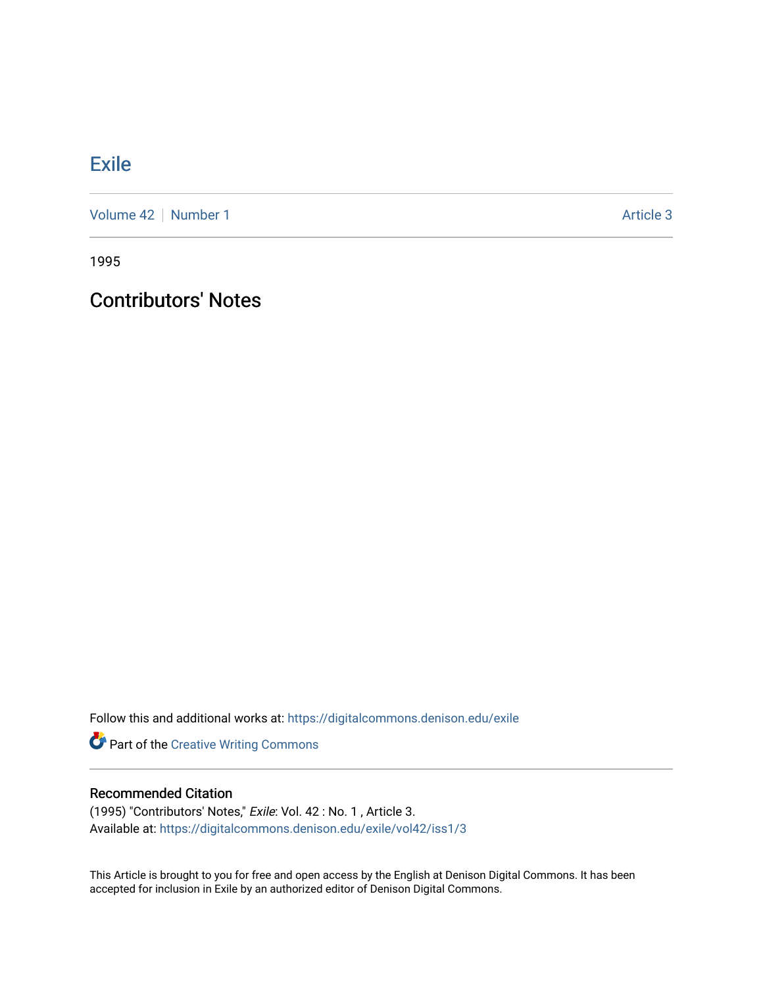## **[Exile](https://digitalcommons.denison.edu/exile)**

[Volume 42](https://digitalcommons.denison.edu/exile/vol42) | [Number 1](https://digitalcommons.denison.edu/exile/vol42/iss1) Article 3

1995

## Contributors' Notes

Follow this and additional works at: [https://digitalcommons.denison.edu/exile](https://digitalcommons.denison.edu/exile?utm_source=digitalcommons.denison.edu%2Fexile%2Fvol42%2Fiss1%2F3&utm_medium=PDF&utm_campaign=PDFCoverPages) 

Part of the [Creative Writing Commons](http://network.bepress.com/hgg/discipline/574?utm_source=digitalcommons.denison.edu%2Fexile%2Fvol42%2Fiss1%2F3&utm_medium=PDF&utm_campaign=PDFCoverPages) 

## Recommended Citation

(1995) "Contributors' Notes," Exile: Vol. 42 : No. 1 , Article 3. Available at: [https://digitalcommons.denison.edu/exile/vol42/iss1/3](https://digitalcommons.denison.edu/exile/vol42/iss1/3?utm_source=digitalcommons.denison.edu%2Fexile%2Fvol42%2Fiss1%2F3&utm_medium=PDF&utm_campaign=PDFCoverPages) 

This Article is brought to you for free and open access by the English at Denison Digital Commons. It has been accepted for inclusion in Exile by an authorized editor of Denison Digital Commons.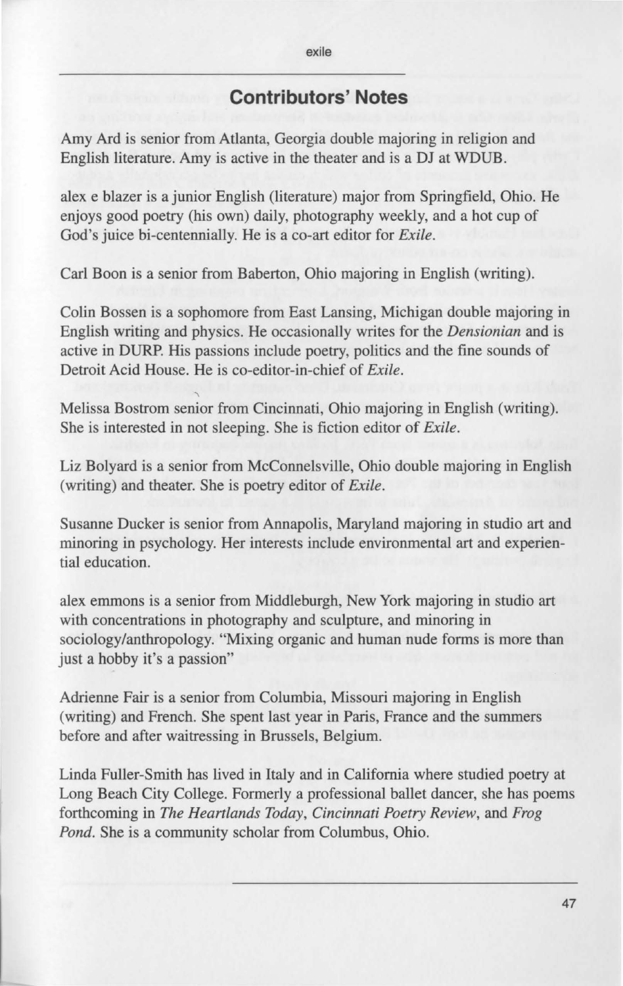## **Contributors' Notes**

Amy Ard is senior from Atlanta, Georgia double majoring in religion and English literature. Amy is active in the theater and is a DJ at WDUB.

alex e blazer is a junior English (literature) major from Springfield, Ohio. He enjoys good poetry (his own) daily, photography weekly, and a hot cup of God's juice bi-centennially. He is a co-art editor for *Exile.* 

Carl Boon is a senior from Baberton, Ohio majoring in English (writing).

Colin Bossen is a sophomore from East Lansing, Michigan double majoring in English writing and physics. He occasionally writes for the *Densionian* and is active in DURP. His passions include poetry, politics and the fine sounds of Detroit Acid House. He is co-editor-in-chief of *Exile.* 

' Melissa Bostrom senior from Cincinnati, Ohio majoring in English (writing). She is interested in not sleeping. She is fiction editor of *Exile.* 

Liz Bolyard is a senior from McConnelsville, Ohio double majoring in English (writing) and theater. She is poetry editor of *Exile.* 

Susanne Ducker is senior from Annapolis, Maryland majoring in studio art and minoring in psychology. Her interests include environmental art and experiential education.

alex emmons is a senior from Middleburgh, New York majoring in studio art with concentrations in photography and sculpture, and minoring in sociology/anthropology. "Mixing organic and human nude forms is more than just a hobby it's a passion"

Adrienne Fair is a senior from Columbia, Missouri majoring in English (writing) and French. She spent last year in Paris, France and the summers before and after waitressing in Brussels, Belgium.

Linda Fuller-Smith has lived in Italy and in California where studied poetry at Long Beach City College. Formerly a professional ballet dancer, she has poems forthcoming in *The Heartlands Today, Cincinnati Poetry Review,* and *Frog Pond.* She is a community scholar from Columbus, Ohio.